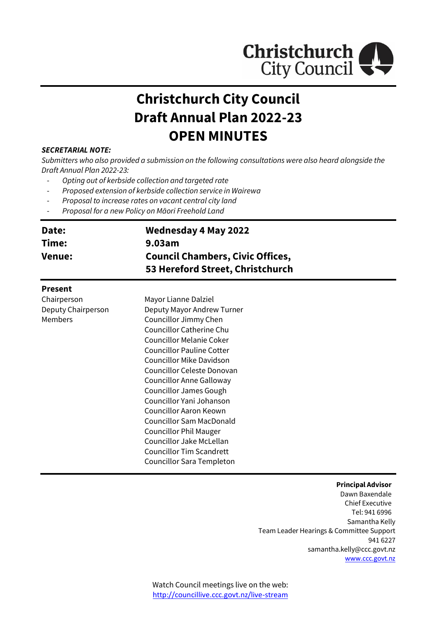

# **Christchurch City Council Draft Annual Plan 2022-23 OPEN MINUTES**

#### *SECRETARIAL NOTE:*

*Submitters who also provided a submission on the following consultations were also heard alongside the Draft Annual Plan 2022-23:*

- *Opting out of kerbside collection and targeted rate*
- *Proposed extension of kerbside collection service in Wairewa*
- *Proposal to increase rates on vacant central city land*
- *Proposal for a new Policy on Māori Freehold Land*

| Date:<br>Time:<br><b>Venue:</b> | <b>Wednesday 4 May 2022</b><br>9.03am<br><b>Council Chambers, Civic Offices,</b><br>53 Hereford Street, Christchurch |  |
|---------------------------------|----------------------------------------------------------------------------------------------------------------------|--|
| <b>Present</b>                  |                                                                                                                      |  |
| Chairperson                     | Mayor Lianne Dalziel                                                                                                 |  |
| Deputy Chairperson              | Deputy Mayor Andrew Turner                                                                                           |  |
| <b>Members</b>                  | Councillor Jimmy Chen                                                                                                |  |
|                                 | <b>Councillor Catherine Chu</b>                                                                                      |  |
|                                 | <b>Councillor Melanie Coker</b>                                                                                      |  |
|                                 | <b>Councillor Pauline Cotter</b>                                                                                     |  |
|                                 | Councillor Mike Davidson                                                                                             |  |
|                                 | Councillor Celeste Donovan                                                                                           |  |
|                                 | Councillor Anne Galloway                                                                                             |  |

Councillor James Gough Councillor Yani Johanson Councillor Aaron Keown Councillor Sam MacDonald Councillor Phil Mauger Councillor Jake McLellan Councillor Tim Scandrett Councillor Sara Templeton

#### **Principal Advisor** Dawn Baxendale Chief Executive

Tel: 941 6996 Samantha Kelly Team Leader Hearings & Committee Support 941 6227 samantha.kelly@ccc.govt.nz [www.ccc.govt.nz](http://www.ccc.govt.nz/)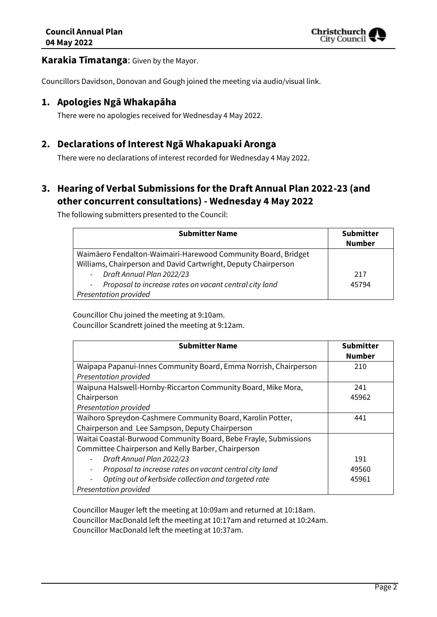

### **Karakia Tīmatanga**: Given by the Mayor.

Councillors Davidson, Donovan and Gough joined the meeting via audio/visual link.

### **1. Apologies Ngā Whakapāha**

There were no apologies received for Wednesday 4 May 2022.

### **2. Declarations of Interest Ngā Whakapuaki Aronga**

There were no declarations of interest recorded for Wednesday 4 May 2022.

# **3. Hearing of Verbal Submissions for the Draft Annual Plan 2022-23 (and other concurrent consultations) - Wednesday 4 May 2022**

The following submitters presented to the Council:

| <b>Submitter Name</b>                                            | <b>Submitter</b> |
|------------------------------------------------------------------|------------------|
|                                                                  | <b>Number</b>    |
| Waimāero Fendalton-Waimairi-Harewood Community Board, Bridget    |                  |
| Williams, Chairperson and David Cartwright, Deputy Chairperson   |                  |
| - Draft Annual Plan 2022/23                                      | 217              |
| Proposal to increase rates on vacant central city land<br>$\sim$ | 45794            |
| <b>Presentation provided</b>                                     |                  |

Councillor Chu joined the meeting at 9:10am.

Councillor Scandrett joined the meeting at 9:12am.

| <b>Submitter Name</b>                                            | <b>Submitter</b><br><b>Number</b> |
|------------------------------------------------------------------|-----------------------------------|
| Waipapa Papanui-Innes Community Board, Emma Norrish, Chairperson | 210                               |
| Presentation provided                                            |                                   |
| Waipuna Halswell-Hornby-Riccarton Community Board, Mike Mora,    | 241                               |
| Chairperson                                                      | 45962                             |
| Presentation provided                                            |                                   |
| Waihoro Spreydon-Cashmere Community Board, Karolin Potter,       | 441                               |
| Chairperson and Lee Sampson, Deputy Chairperson                  |                                   |
| Waitai Coastal-Burwood Community Board, Bebe Frayle, Submissions |                                   |
| Committee Chairperson and Kelly Barber, Chairperson              |                                   |
| Draft Annual Plan 2022/23                                        | 191                               |
| Proposal to increase rates on vacant central city land           | 49560                             |
| Opting out of kerbside collection and targeted rate              | 45961                             |
| Presentation provided                                            |                                   |

Councillor Mauger left the meeting at 10:09am and returned at 10:18am. Councillor MacDonald left the meeting at 10:17am and returned at 10:24am. Councillor MacDonald left the meeting at 10:37am.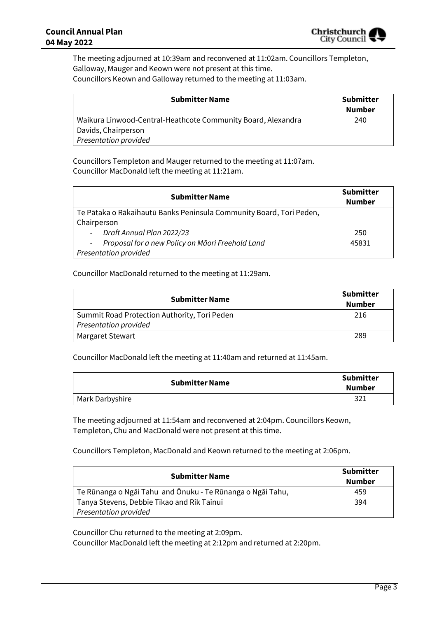

The meeting adjourned at 10:39am and reconvened at 11:02am. Councillors Templeton, Galloway, Mauger and Keown were not present at this time. Councillors Keown and Galloway returned to the meeting at 11:03am.

| <b>Submitter Name</b>                                        | <b>Submitter</b><br><b>Number</b> |
|--------------------------------------------------------------|-----------------------------------|
| Waikura Linwood-Central-Heathcote Community Board, Alexandra | 240                               |
| Davids, Chairperson                                          |                                   |
| <b>Presentation provided</b>                                 |                                   |

Councillors Templeton and Mauger returned to the meeting at 11:07am. Councillor MacDonald left the meeting at 11:21am.

| <b>Submitter Name</b>                                               | <b>Submitter</b><br><b>Number</b> |
|---------------------------------------------------------------------|-----------------------------------|
| Te Pātaka o Rākaihautū Banks Peninsula Community Board, Tori Peden, |                                   |
| Chairperson                                                         |                                   |
| Draft Annual Plan 2022/23                                           | 250                               |
| Proposal for a new Policy on Māori Freehold Land                    | 45831                             |
| Presentation provided                                               |                                   |

#### Councillor MacDonald returned to the meeting at 11:29am.

| <b>Submitter Name</b>                        | <b>Submitter</b><br><b>Number</b> |
|----------------------------------------------|-----------------------------------|
| Summit Road Protection Authority, Tori Peden | 216                               |
| <b>Presentation provided</b>                 |                                   |
| <b>Margaret Stewart</b>                      | 289                               |

Councillor MacDonald left the meeting at 11:40am and returned at 11:45am.

| <b>Submitter Name</b> | <b>Submitter</b><br><b>Number</b> |
|-----------------------|-----------------------------------|
| Mark Darbyshire       | 321                               |

The meeting adjourned at 11:54am and reconvened at 2:04pm. Councillors Keown, Templeton, Chu and MacDonald were not present at this time.

Councillors Templeton, MacDonald and Keown returned to the meeting at 2:06pm.

| <b>Submitter Name</b>                                      | <b>Submitter</b><br><b>Number</b> |
|------------------------------------------------------------|-----------------------------------|
| Te Rūnanga o Ngāi Tahu and Ōnuku - Te Rūnanga o Ngāi Tahu, | 459                               |
| Tanya Stevens, Debbie Tikao and Rik Tainui                 | 394                               |
| <b>Presentation provided</b>                               |                                   |

Councillor Chu returned to the meeting at 2:09pm.

Councillor MacDonald left the meeting at 2:12pm and returned at 2:20pm.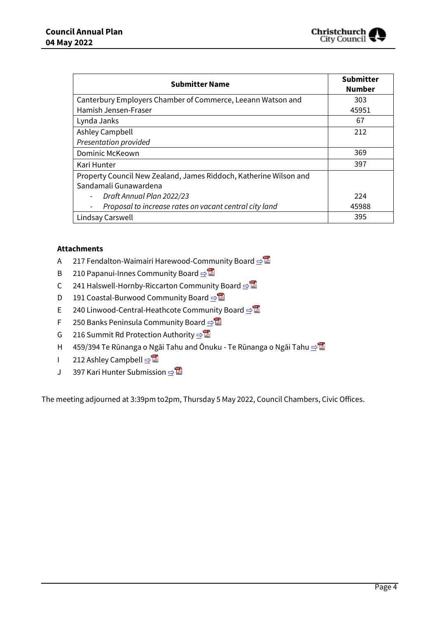

| <b>Submitter Name</b>                                             | <b>Submitter</b><br><b>Number</b> |
|-------------------------------------------------------------------|-----------------------------------|
| Canterbury Employers Chamber of Commerce, Leeann Watson and       | 303                               |
| Hamish Jensen-Fraser                                              | 45951                             |
| Lynda Janks                                                       | 67                                |
| <b>Ashley Campbell</b>                                            | 212                               |
| Presentation provided                                             |                                   |
| Dominic McKeown                                                   | 369                               |
| Kari Hunter                                                       | 397                               |
| Property Council New Zealand, James Riddoch, Katherine Wilson and |                                   |
| Sandamali Gunawardena                                             |                                   |
| Draft Annual Plan 2022/23                                         | 224                               |
| Proposal to increase rates on vacant central city land            | 45988                             |
| Lindsay Carswell                                                  | 395                               |

#### **Attachments**

- A 217 Fendalton-Waimairi Harewood-Community Board [⇨](../../../RedirectToInvalidFileName.aspx?FileName=CAPL_20220504_MAT_7379.PDF#PAGE=4)
- B 210 Papanui-Innes Community Board **[⇨](../../../RedirectToInvalidFileName.aspx?FileName=CAPL_20220504_MAT_7379.PDF#PAGE=7)</u>**
- C 241 Halswell-Hornby-Riccarton Community Board [⇨](../../../RedirectToInvalidFileName.aspx?FileName=CAPL_20220504_MAT_7379.PDF#PAGE=16)
- D 191 Coastal-Burwood Community Board **[⇨](../../../RedirectToInvalidFileName.aspx?FileName=CAPL_20220504_MAT_7379.PDF#PAGE=21)**
- E 240 Linwood-Central-Heathcote Community Board **[⇨](../../../RedirectToInvalidFileName.aspx?FileName=CAPL_20220504_MAT_7379.PDF#PAGE=25)</u>**
- F 250 Banks Peninsula Community Board **[⇨](../../../RedirectToInvalidFileName.aspx?FileName=CAPL_20220504_MAT_7379.PDF#PAGE=30)**
- G 216 Summit Rd Protection Authority  $\triangle$
- H 459/394 Te Rūnanga o Ngāi Tahu and Ōnuku Te Rūnanga o Ngāi Tahu **[⇨](../../../RedirectToInvalidFileName.aspx?FileName=CAPL_20220504_MAT_7379.PDF#PAGE=45)<sup>।</sup>**
- I 212 Ashley Campbell **[⇨](../../../RedirectToInvalidFileName.aspx?FileName=CAPL_20220504_MAT_7379.PDF#PAGE=52)</u>■**
- J 397 Kari Hunter Submission っ

The meeting adjourned at 3:39pm to2pm, Thursday 5 May 2022, Council Chambers, Civic Offices.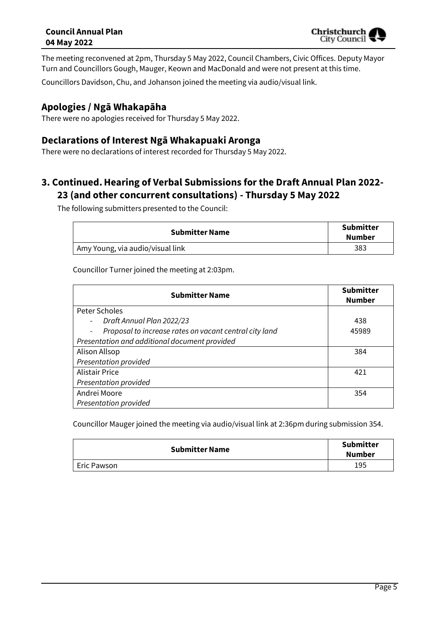The meeting reconvened at 2pm, Thursday 5 May 2022, Council Chambers, Civic Offices. Deputy Mayor Turn and Councillors Gough, Mauger, Keown and MacDonald and were not present at this time.

Councillors Davidson, Chu, and Johanson joined the meeting via audio/visual link.

## **Apologies / Ngā Whakapāha**

There were no apologies received for Thursday 5 May 2022.

### **Declarations of Interest Ngā Whakapuaki Aronga**

There were no declarations of interest recorded for Thursday 5 May 2022.

# **3. Continued.Hearing of Verbal Submissions for the Draft Annual Plan 2022- 23 (and other concurrent consultations) - Thursday 5 May 2022**

The following submitters presented to the Council:

| <b>Submitter Name</b>                         | <b>Submitter</b><br>Number |
|-----------------------------------------------|----------------------------|
| <sup>1</sup> Amy Young, via audio/visual link | 383                        |

Councillor Turner joined the meeting at 2:03pm.

| <b>Submitter Name</b>                                  | <b>Submitter</b><br><b>Number</b> |
|--------------------------------------------------------|-----------------------------------|
| <b>Peter Scholes</b>                                   |                                   |
| Draft Annual Plan 2022/23<br>$\sim$                    | 438                               |
| Proposal to increase rates on vacant central city land | 45989                             |
| Presentation and additional document provided          |                                   |
| Alison Allsop                                          | 384                               |
| Presentation provided                                  |                                   |
| <b>Alistair Price</b>                                  | 421                               |
| Presentation provided                                  |                                   |
| Andrei Moore                                           | 354                               |
| Presentation provided                                  |                                   |

Councillor Mauger joined the meeting via audio/visual link at 2:36pm during submission 354.

| <b>Submitter Name</b> | <b>Submitter</b><br><b>Number</b> |
|-----------------------|-----------------------------------|
| Eric Pawson           | 195                               |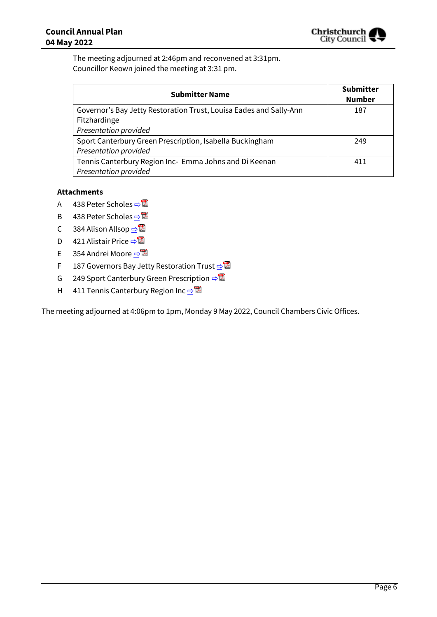

The meeting adjourned at 2:46pm and reconvened at 3:31pm. Councillor Keown joined the meeting at 3:31 pm.

| <b>Submitter Name</b>                                              | <b>Submitter</b><br><b>Number</b> |
|--------------------------------------------------------------------|-----------------------------------|
| Governor's Bay Jetty Restoration Trust, Louisa Eades and Sally-Ann | 187                               |
| Fitzhardinge                                                       |                                   |
| Presentation provided                                              |                                   |
| Sport Canterbury Green Prescription, Isabella Buckingham           | 249                               |
| <b>Presentation provided</b>                                       |                                   |
| Tennis Canterbury Region Inc- Emma Johns and Di Keenan             | 411                               |
| <b>Presentation provided</b>                                       |                                   |

#### **Attachments**

- A 438 Peter Scholes [⇨](../../../RedirectToInvalidFileName.aspx?FileName=CAPL_20220504_MAT_7379.PDF#PAGE=65)
- B 438 Peter Scholes [⇨](../../../RedirectToInvalidFileName.aspx?FileName=CAPL_20220504_MAT_7379.PDF#PAGE=67)
- C 384 Alison Allsop  $\Rightarrow \blacksquare$
- D 421 Alistair Price **[⇨](../../../RedirectToInvalidFileName.aspx?FileName=CAPL_20220504_MAT_7379.PDF#PAGE=79)</u>■**
- E 354 Andrei Moore ⇒
- F 187 Governors Bay Jetty Restoration Trust –
- G 249 Sport Canterbury Green Prescription **·**
- H 411 Tennis Canterbury Region Inc **[⇨](../../../RedirectToInvalidFileName.aspx?FileName=CAPL_20220504_MAT_7379.PDF#PAGE=106)**

The meeting adjourned at 4:06pm to 1pm, Monday 9 May 2022, Council Chambers Civic Offices.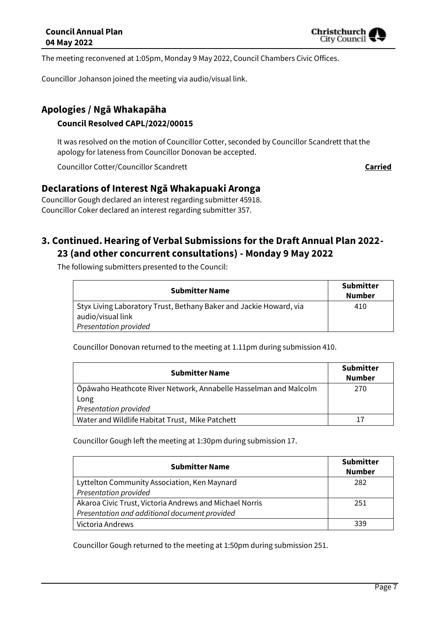

The meeting reconvened at 1:05pm, Monday 9 May 2022, Council Chambers Civic Offices.

Councillor Johanson joined the meeting via audio/visual link.

# **Apologies / Ngā Whakapāha**

### **Council Resolved CAPL/2022/00015**

It was resolved on the motion of Councillor Cotter, seconded by Councillor Scandrett that the apology for lateness from Councillor Donovan be accepted.

Councillor Cotter/Councillor Scandrett **Carried** Council and Carried Carried

# **Declarations of Interest Ngā Whakapuaki Aronga**

Councillor Gough declared an interest regarding submitter 45918. Councillor Coker declared an interest regarding submitter 357.

# **3. Continued.Hearing of Verbal Submissions for the Draft Annual Plan 2022- 23 (and other concurrent consultations) - Monday 9 May 2022**

The following submitters presented to the Council:

| <b>Submitter Name</b>                                              | <b>Submitter</b><br>Number |
|--------------------------------------------------------------------|----------------------------|
| Styx Living Laboratory Trust, Bethany Baker and Jackie Howard, via | 410                        |
| audio/visual link<br>Presentation provided                         |                            |

Councillor Donovan returned to the meeting at 1.11pm during submission 410.

| <b>Submitter Name</b>                                            | <b>Submitter</b><br><b>Number</b> |
|------------------------------------------------------------------|-----------------------------------|
| Ōpāwaho Heathcote River Network, Annabelle Hasselman and Malcolm | 270                               |
| Long                                                             |                                   |
| <b>Presentation provided</b>                                     |                                   |
| Water and Wildlife Habitat Trust, Mike Patchett                  |                                   |

Councillor Gough left the meeting at 1:30pm during submission 17.

| <b>Submitter Name</b>                                   | <b>Submitter</b><br><b>Number</b> |
|---------------------------------------------------------|-----------------------------------|
| Lyttelton Community Association, Ken Maynard            | 282                               |
| Presentation provided                                   |                                   |
| Akaroa Civic Trust, Victoria Andrews and Michael Norris | 251                               |
| Presentation and additional document provided           |                                   |
| Victoria Andrews                                        | 339                               |

Councillor Gough returned to the meeting at 1:50pm during submission 251.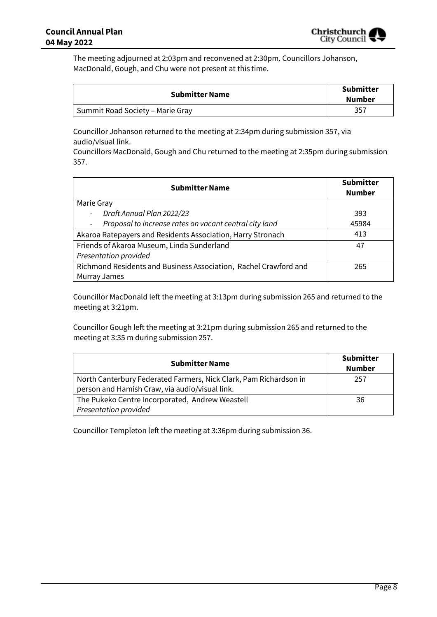

The meeting adjourned at 2:03pm and reconvened at 2:30pm. Councillors Johanson, MacDonald, Gough, and Chu were not present at this time.

| <b>Submitter Name</b>            | <b>Submitter</b><br>Number |
|----------------------------------|----------------------------|
| Summit Road Society - Marie Gray | 357                        |

Councillor Johanson returned to the meeting at 2:34pm during submission 357, via audio/visual link.

Councillors MacDonald, Gough and Chu returned to the meeting at 2:35pm during submission 357.

| <b>Submitter Name</b>                                                              | <b>Submitter</b><br><b>Number</b> |
|------------------------------------------------------------------------------------|-----------------------------------|
| Marie Gray                                                                         |                                   |
| Draft Annual Plan 2022/23<br>$\overline{\phantom{0}}$                              | 393                               |
| Proposal to increase rates on vacant central city land<br>$\overline{\phantom{a}}$ | 45984                             |
| Akaroa Ratepayers and Residents Association, Harry Stronach                        | 413                               |
| Friends of Akaroa Museum, Linda Sunderland                                         | 47                                |
| Presentation provided                                                              |                                   |
| Richmond Residents and Business Association, Rachel Crawford and                   | 265                               |
| Murray James                                                                       |                                   |

Councillor MacDonald left the meeting at 3:13pm during submission 265 and returned to the meeting at 3:21pm.

Councillor Gough left the meeting at 3:21pm during submission 265 and returned to the meeting at 3:35 m during submission 257.

| <b>Submitter Name</b>                                                                                               | <b>Submitter</b><br><b>Number</b> |
|---------------------------------------------------------------------------------------------------------------------|-----------------------------------|
| North Canterbury Federated Farmers, Nick Clark, Pam Richardson in<br>person and Hamish Craw, via audio/visual link. | 257                               |
| The Pukeko Centre Incorporated, Andrew Weastell<br><b>Presentation provided</b>                                     | 36                                |

Councillor Templeton left the meeting at 3:36pm during submission 36.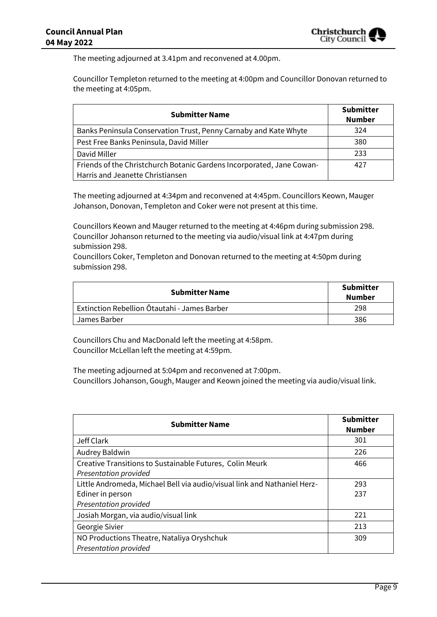The meeting adjourned at 3.41pm and reconvened at 4.00pm.

Councillor Templeton returned to the meeting at 4:00pm and Councillor Donovan returned to the meeting at 4:05pm.

| <b>Submitter Name</b>                                                 | <b>Submitter</b><br><b>Number</b> |
|-----------------------------------------------------------------------|-----------------------------------|
| Banks Peninsula Conservation Trust, Penny Carnaby and Kate Whyte      | 324                               |
| Pest Free Banks Peninsula, David Miller                               | 380                               |
| David Miller                                                          | 233                               |
| Friends of the Christchurch Botanic Gardens Incorporated, Jane Cowan- | 427                               |
| Harris and Jeanette Christiansen                                      |                                   |

The meeting adjourned at 4:34pm and reconvened at 4:45pm. Councillors Keown, Mauger Johanson, Donovan, Templeton and Coker were not present at this time.

Councillors Keown and Mauger returned to the meeting at 4:46pm during submission 298. Councillor Johanson returned to the meeting via audio/visual link at 4:47pm during submission 298.

Councillors Coker, Templeton and Donovan returned to the meeting at 4:50pm during submission 298.

| <b>Submitter Name</b>                        | <b>Submitter</b><br><b>Number</b> |
|----------------------------------------------|-----------------------------------|
| Extinction Rebellion Ōtautahi - James Barber | 298                               |
| James Barber                                 | 386                               |

Councillors Chu and MacDonald left the meeting at 4:58pm. Councillor McLellan left the meeting at 4:59pm.

The meeting adjourned at 5:04pm and reconvened at 7:00pm. Councillors Johanson, Gough, Mauger and Keown joined the meeting via audio/visual link.

| <b>Submitter Name</b>                                                    | <b>Submitter</b><br><b>Number</b> |
|--------------------------------------------------------------------------|-----------------------------------|
| Jeff Clark                                                               | 301                               |
| Audrey Baldwin                                                           | 226                               |
| Creative Transitions to Sustainable Futures, Colin Meurk                 | 466                               |
| Presentation provided                                                    |                                   |
| Little Andromeda, Michael Bell via audio/visual link and Nathaniel Herz- | 293                               |
| Ediner in person                                                         | 237                               |
| Presentation provided                                                    |                                   |
| Josiah Morgan, via audio/visual link                                     | 221                               |
| Georgie Sivier                                                           | 213                               |
| NO Productions Theatre, Nataliya Oryshchuk                               | 309                               |
| Presentation provided                                                    |                                   |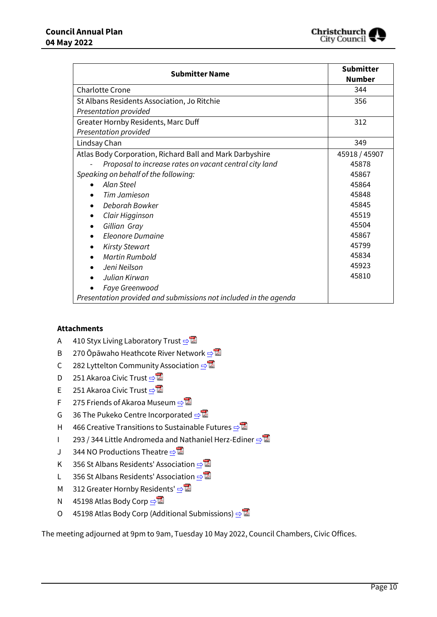

| <b>Submitter Name</b>                                            | <b>Submitter</b><br><b>Number</b> |
|------------------------------------------------------------------|-----------------------------------|
| <b>Charlotte Crone</b>                                           | 344                               |
| St Albans Residents Association, Jo Ritchie                      | 356                               |
| Presentation provided                                            |                                   |
| Greater Hornby Residents, Marc Duff                              | 312                               |
| Presentation provided                                            |                                   |
| Lindsay Chan                                                     | 349                               |
| Atlas Body Corporation, Richard Ball and Mark Darbyshire         | 45918 / 45907                     |
| Proposal to increase rates on vacant central city land           | 45878                             |
| Speaking on behalf of the following:                             | 45867                             |
| Alan Steel                                                       | 45864                             |
| Tim Jamieson                                                     | 45848                             |
| Deborah Bowker                                                   | 45845                             |
| Clair Higginson                                                  | 45519                             |
| Gillian Gray<br>$\bullet$                                        | 45504                             |
| Eleonore Dumaine                                                 | 45867                             |
| <b>Kirsty Stewart</b>                                            | 45799                             |
| <b>Martin Rumbold</b>                                            | 45834                             |
| Jeni Neilson                                                     | 45923                             |
| Julian Kirwan                                                    | 45810                             |
| Faye Greenwood                                                   |                                   |
| Presentation provided and submissions not included in the agenda |                                   |

#### **Attachments**

- A 410 Styx Living Laboratory Trust  $\Rightarrow$
- B 270 Ōpāwaho Heathcote River Network っ
- C 282 Lyttelton Community Association **[⇨](../../../RedirectToInvalidFileName.aspx?FileName=CAPL_20220504_MAT_7379.PDF#PAGE=130)</u>**
- D 251 Akaroa Civic Trust [⇨](../../../RedirectToInvalidFileName.aspx?FileName=CAPL_20220504_MAT_7379.PDF#PAGE=133)
- E 251 Akaroa Civic Trust [⇨](../../../RedirectToInvalidFileName.aspx?FileName=CAPL_20220504_MAT_7379.PDF#PAGE=144)
- F 275 Friends of Akaroa Museum **[⇨](../../../RedirectToInvalidFileName.aspx?FileName=CAPL_20220504_MAT_7379.PDF#PAGE=148)</u>**
- G 36 The Pukeko Centre Incorporated ⇒
- H 466 Creative Transitions to Sustainable Futures **[⇨](../../../RedirectToInvalidFileName.aspx?FileName=CAPL_20220504_MAT_7379.PDF#PAGE=174)</u>**
- I 293 / 344 Little Andromeda and Nathaniel Herz-Ediner [⇨](../../../RedirectToInvalidFileName.aspx?FileName=CAPL_20220504_MAT_7379.PDF#PAGE=184)
- J 344 NO Productions Theatre **[⇨](../../../RedirectToInvalidFileName.aspx?FileName=CAPL_20220504_MAT_7379.PDF#PAGE=189)</u>**
- K 356 St Albans Residents' Association **[⇨](../../../RedirectToInvalidFileName.aspx?FileName=CAPL_20220504_MAT_7379.PDF#PAGE=199)</u>**
- L 356 St Albans Residents' Association **[⇨](../../../RedirectToInvalidFileName.aspx?FileName=CAPL_20220504_MAT_7379.PDF#PAGE=204)</u>**
- M 312 Greater Hornby Residents' **[⇨](../../../RedirectToInvalidFileName.aspx?FileName=CAPL_20220504_MAT_7379.PDF#PAGE=211)</u>**
- N 45198 Atlas Body Corp  $\Rightarrow \blacksquare$
- O 45198 Atlas Body Corp (Additional Submissions) **□**

The meeting adjourned at 9pm to 9am, Tuesday 10 May 2022, Council Chambers, Civic Offices.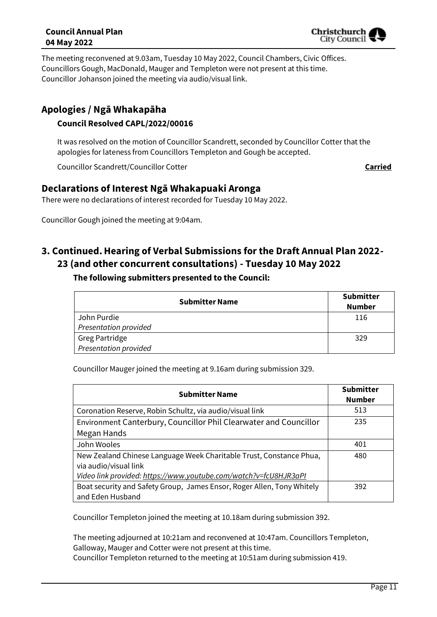The meeting reconvened at 9.03am, Tuesday 10 May 2022, Council Chambers, Civic Offices. Councillors Gough, MacDonald, Mauger and Templeton were not present at this time. Councillor Johanson joined the meeting via audio/visual link.

# **Apologies / Ngā Whakapāha**

### **Council Resolved CAPL/2022/00016**

It was resolved on the motion of Councillor Scandrett, seconded by Councillor Cotter that the apologies for lateness from Councillors Templeton and Gough be accepted.

Councillor Scandrett/Councillor Cotter **Carried**

# **Declarations of Interest Ngā Whakapuaki Aronga**

There were no declarations of interest recorded for Tuesday 10 May 2022.

Councillor Gough joined the meeting at 9:04am.

# **3. Continued.Hearing of Verbal Submissions for the Draft Annual Plan 2022- 23 (and other concurrent consultations) - Tuesday 10 May 2022**

| <b>Submitter Name</b>        | <b>Submitter</b><br><b>Number</b> |
|------------------------------|-----------------------------------|
| John Purdie                  | 116                               |
| <b>Presentation provided</b> |                                   |
| Greg Partridge               | 329                               |
| <b>Presentation provided</b> |                                   |

**The following submitters presented to the Council:**

Councillor Mauger joined the meeting at 9.16am during submission 329.

| <b>Submitter Name</b>                                                                        | <b>Submitter</b><br><b>Number</b> |
|----------------------------------------------------------------------------------------------|-----------------------------------|
| Coronation Reserve, Robin Schultz, via audio/visual link                                     | 513                               |
| Environment Canterbury, Councillor Phil Clearwater and Councillor                            | 235                               |
| Megan Hands                                                                                  |                                   |
| John Wooles                                                                                  | 401                               |
| New Zealand Chinese Language Week Charitable Trust, Constance Phua,<br>via audio/visual link | 480                               |
| Video link provided: https://www.youtube.com/watch?v=fcU8HJR3aPI                             |                                   |
| Boat security and Safety Group, James Ensor, Roger Allen, Tony Whitely<br>and Eden Husband   | 392                               |

Councillor Templeton joined the meeting at 10.18am during submission 392.

The meeting adjourned at 10:21am and reconvened at 10:47am. Councillors Templeton, Galloway, Mauger and Cotter were not present at this time.

Councillor Templeton returned to the meeting at 10:51am during submission 419.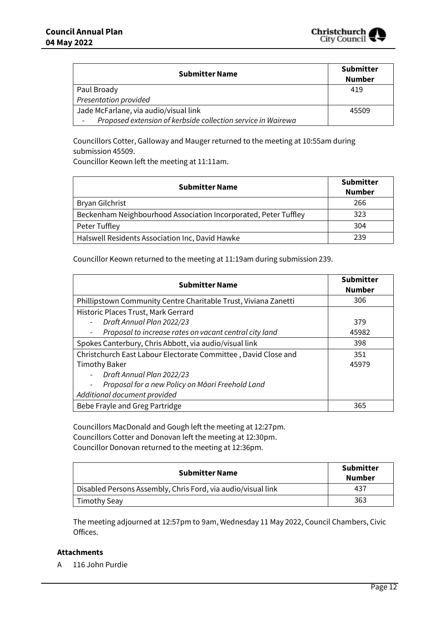

| <b>Submitter Name</b>                                        | <b>Submitter</b><br><b>Number</b> |
|--------------------------------------------------------------|-----------------------------------|
| Paul Broady                                                  | 419                               |
| Presentation provided                                        |                                   |
| Jade McFarlane, via audio/visual link                        | 45509                             |
| Proposed extension of kerbside collection service in Wairewa |                                   |

Councillors Cotter, Galloway and Mauger returned to the meeting at 10:55am during submission 45509.

Councillor Keown left the meeting at 11:11am.

| <b>Submitter Name</b>                                           | <b>Submitter</b><br>Number |
|-----------------------------------------------------------------|----------------------------|
| Bryan Gilchrist                                                 | 266                        |
| Beckenham Neighbourhood Association Incorporated, Peter Tuffley | 323                        |
| Peter Tuffley                                                   | 304                        |
| Halswell Residents Association Inc, David Hawke                 | 239                        |

Councillor Keown returned to the meeting at 11:19am during submission 239.

| <b>Submitter Name</b>                                                        | <b>Submitter</b><br><b>Number</b> |
|------------------------------------------------------------------------------|-----------------------------------|
| Phillipstown Community Centre Charitable Trust, Viviana Zanetti              | 306                               |
| Historic Places Trust, Mark Gerrard                                          |                                   |
| Draft Annual Plan 2022/23                                                    | 379                               |
| Proposal to increase rates on vacant central city land                       | 45982                             |
| Spokes Canterbury, Chris Abbott, via audio/visual link                       | 398                               |
| Christchurch East Labour Electorate Committee, David Close and               | 351                               |
| <b>Timothy Baker</b>                                                         | 45979                             |
| Draft Annual Plan 2022/23                                                    |                                   |
| Proposal for a new Policy on Māori Freehold Land<br>$\overline{\phantom{a}}$ |                                   |
| Additional document provided                                                 |                                   |
| Bebe Frayle and Greg Partridge                                               | 365                               |

Councillors MacDonald and Gough left the meeting at 12:27pm. Councillors Cotter and Donovan left the meeting at 12:30pm. Councillor Donovan returned to the meeting at 12:36pm.

| <b>Submitter Name</b>                                        | <b>Submitter</b><br><b>Number</b> |
|--------------------------------------------------------------|-----------------------------------|
| Disabled Persons Assembly, Chris Ford, via audio/visual link | 437                               |
| <b>Timothy Seay</b>                                          | 363                               |

The meeting adjourned at 12:57pm to 9am, Wednesday 11 May 2022, Council Chambers, Civic Offices.

#### **Attachments**

A 116 John Purdie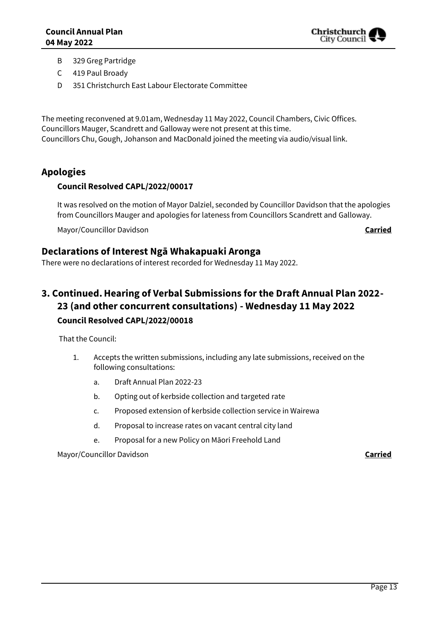

- B 329 Greg Partridge
- C 419 Paul Broady
- D 351 Christchurch East Labour Electorate Committee

The meeting reconvened at 9.01am, Wednesday 11 May 2022, Council Chambers, Civic Offices. Councillors Mauger, Scandrett and Galloway were not present at this time. Councillors Chu, Gough, Johanson and MacDonald joined the meeting via audio/visual link.

## **Apologies**

### **Council Resolved CAPL/2022/00017**

It was resolved on the motion of Mayor Dalziel, seconded by Councillor Davidson that the apologies from Councillors Mauger and apologies for lateness from Councillors Scandrett and Galloway.

Mayor/Councillor Davidson **Carried**

### **Declarations of Interest Ngā Whakapuaki Aronga**

There were no declarations of interest recorded for Wednesday 11 May 2022.

# **3. Continued.Hearing of Verbal Submissions for the Draft Annual Plan 2022- 23 (and other concurrent consultations) - Wednesday 11 May 2022 Council Resolved CAPL/2022/00018**

That the Council:

- 1. Accepts the written submissions, including any late submissions, received on the following consultations:
	- a. Draft Annual Plan 2022-23
	- b. Opting out of kerbside collection and targeted rate
	- c. Proposed extension of kerbside collection service in Wairewa
	- d. Proposal to increase rates on vacant central city land
	- e. Proposal for a new Policy on Māori Freehold Land

Mayor/Councillor Davidson **Carried**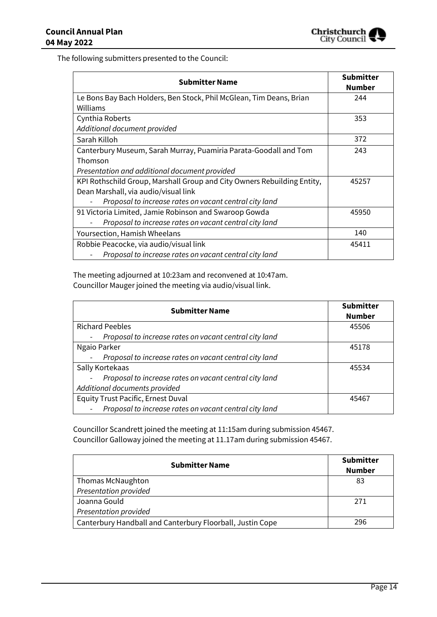

The following submitters presented to the Council:

| <b>Submitter Name</b>                                                   | <b>Submitter</b><br><b>Number</b> |
|-------------------------------------------------------------------------|-----------------------------------|
| Le Bons Bay Bach Holders, Ben Stock, Phil McGlean, Tim Deans, Brian     | 244                               |
| Williams                                                                |                                   |
| Cynthia Roberts                                                         | 353                               |
| Additional document provided                                            |                                   |
| Sarah Killoh                                                            | 372                               |
| Canterbury Museum, Sarah Murray, Puamiria Parata-Goodall and Tom        | 243                               |
| Thomson                                                                 |                                   |
| Presentation and additional document provided                           |                                   |
| KPI Rothschild Group, Marshall Group and City Owners Rebuilding Entity, | 45257                             |
| Dean Marshall, via audio/visual link                                    |                                   |
| Proposal to increase rates on vacant central city land                  |                                   |
| 91 Victoria Limited, Jamie Robinson and Swaroop Gowda                   | 45950                             |
| Proposal to increase rates on vacant central city land                  |                                   |
| Yoursection, Hamish Wheelans                                            | 140                               |
| Robbie Peacocke, via audio/visual link                                  | 45411                             |
| Proposal to increase rates on vacant central city land                  |                                   |

The meeting adjourned at 10:23am and reconvened at 10:47am. Councillor Mauger joined the meeting via audio/visual link.

| <b>Submitter Name</b>                                                              | <b>Submitter</b><br><b>Number</b> |
|------------------------------------------------------------------------------------|-----------------------------------|
| <b>Richard Peebles</b>                                                             | 45506                             |
| Proposal to increase rates on vacant central city land<br>$\overline{\phantom{a}}$ |                                   |
| Ngaio Parker                                                                       | 45178                             |
| Proposal to increase rates on vacant central city land                             |                                   |
| Sally Kortekaas                                                                    | 45534                             |
| Proposal to increase rates on vacant central city land                             |                                   |
| Additional documents provided                                                      |                                   |
| <b>Equity Trust Pacific, Ernest Duval</b>                                          | 45467                             |
| Proposal to increase rates on vacant central city land                             |                                   |

Councillor Scandrett joined the meeting at 11:15am during submission 45467. Councillor Galloway joined the meeting at 11.17am during submission 45467.

| <b>Submitter Name</b>                                     | <b>Submitter</b><br><b>Number</b> |
|-----------------------------------------------------------|-----------------------------------|
| Thomas McNaughton                                         | 83                                |
| Presentation provided                                     |                                   |
| Joanna Gould                                              | 271                               |
| Presentation provided                                     |                                   |
| Canterbury Handball and Canterbury Floorball, Justin Cope | 296                               |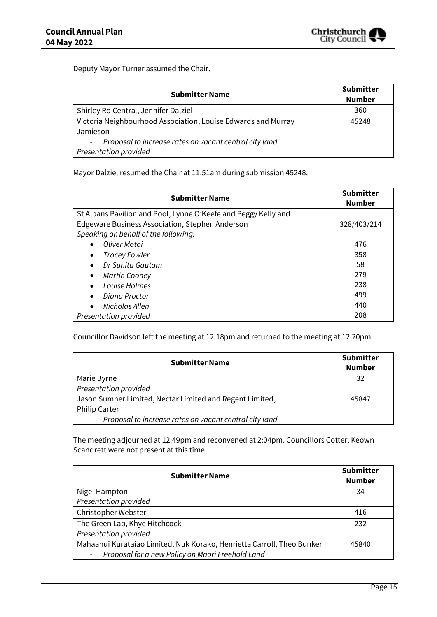

Deputy Mayor Turner assumed the Chair.

| <b>Submitter Name</b>                                                                            | <b>Submitter</b><br><b>Number</b> |
|--------------------------------------------------------------------------------------------------|-----------------------------------|
| Shirley Rd Central, Jennifer Dalziel                                                             | 360                               |
| Victoria Neighbourhood Association, Louise Edwards and Murray<br>Jamieson                        | 45248                             |
| Proposal to increase rates on vacant central city land<br>$\sim$<br><b>Presentation provided</b> |                                   |

Mayor Dalziel resumed the Chair at 11:51am during submission 45248.

| <b>Submitter Name</b>                                          | <b>Submitter</b><br><b>Number</b> |
|----------------------------------------------------------------|-----------------------------------|
| St Albans Pavilion and Pool, Lynne O'Keefe and Peggy Kelly and |                                   |
| Edgeware Business Association, Stephen Anderson                | 328/403/214                       |
| Speaking on behalf of the following:                           |                                   |
| Oliver Motoi                                                   | 476                               |
| <b>Tracey Fowler</b><br>$\bullet$                              | 358                               |
| Dr Sunita Gautam<br>$\bullet$                                  | 58                                |
| <b>Martin Cooney</b><br>$\bullet$                              | 279                               |
| Louise Holmes<br>$\bullet$                                     | 238                               |
| Diana Proctor<br>$\bullet$                                     | 499                               |
| Nicholas Allen<br>$\bullet$                                    | 440                               |
| Presentation provided                                          | 208                               |

Councillor Davidson left the meeting at 12:18pm and returned to the meeting at 12:20pm.

| <b>Submitter Name</b>                                                              | <b>Submitter</b><br><b>Number</b> |
|------------------------------------------------------------------------------------|-----------------------------------|
| Marie Byrne                                                                        | 32                                |
| Presentation provided                                                              |                                   |
| Jason Sumner Limited, Nectar Limited and Regent Limited,                           | 45847                             |
| <b>Philip Carter</b>                                                               |                                   |
| Proposal to increase rates on vacant central city land<br>$\overline{\phantom{a}}$ |                                   |

The meeting adjourned at 12:49pm and reconvened at 2:04pm. Councillors Cotter, Keown Scandrett were not present at this time.

| <b>Submitter Name</b>                                                  | <b>Submitter</b><br><b>Number</b> |
|------------------------------------------------------------------------|-----------------------------------|
| Nigel Hampton                                                          | 34                                |
| Presentation provided                                                  |                                   |
| Christopher Webster                                                    | 416                               |
| The Green Lab, Khye Hitchcock                                          | 232                               |
| Presentation provided                                                  |                                   |
| Mahaanui Kurataiao Limited, Nuk Korako, Henrietta Carroll, Theo Bunker | 45840                             |
| Proposal for a new Policy on Māori Freehold Land<br>$\qquad \qquad -$  |                                   |